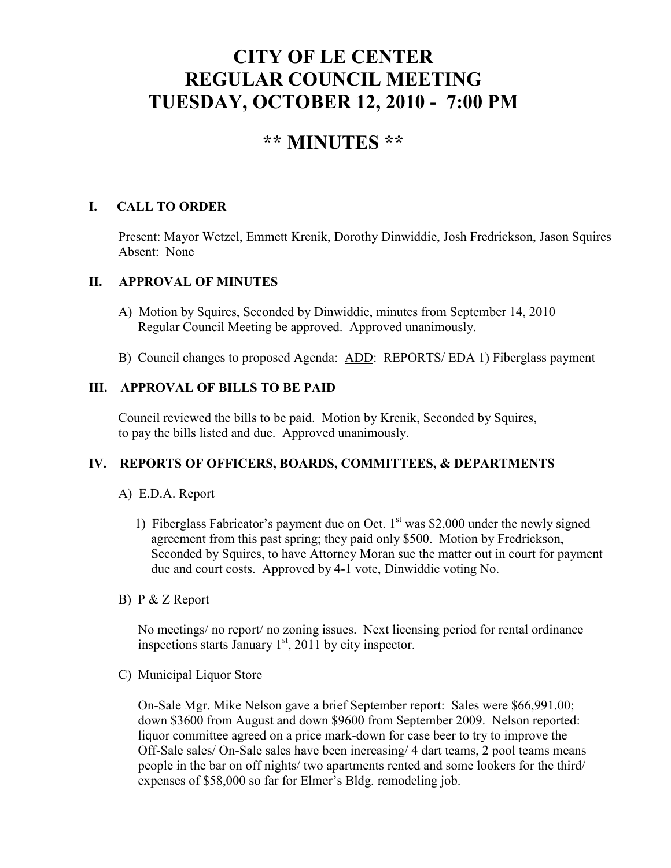# **CITY OF LE CENTER REGULAR COUNCIL MEETING TUESDAY, OCTOBER 12, 2010 - 7:00 PM**

## **\*\* MINUTES \*\***

## **I. CALL TO ORDER**

Present: Mayor Wetzel, Emmett Krenik, Dorothy Dinwiddie, Josh Fredrickson, Jason Squires Absent: None

## **II. APPROVAL OF MINUTES**

- A) Motion by Squires, Seconded by Dinwiddie, minutes from September 14, 2010 Regular Council Meeting be approved. Approved unanimously.
- B) Council changes to proposed Agenda: ADD: REPORTS/ EDA 1) Fiberglass payment

### **III. APPROVAL OF BILLS TO BE PAID**

Council reviewed the bills to be paid. Motion by Krenik, Seconded by Squires, to pay the bills listed and due. Approved unanimously.

## **IV. REPORTS OF OFFICERS, BOARDS, COMMITTEES, & DEPARTMENTS**

## A) E.D.A. Report

- 1) Fiberglass Fabricator's payment due on Oct.  $1<sup>st</sup>$  was \$2,000 under the newly signed agreement from this past spring; they paid only \$500. Motion by Fredrickson, Seconded by Squires, to have Attorney Moran sue the matter out in court for payment due and court costs. Approved by 4-1 vote, Dinwiddie voting No.
- B) P & Z Report

 No meetings/ no report/ no zoning issues. Next licensing period for rental ordinance inspections starts January  $1<sup>st</sup>$ , 2011 by city inspector.

C) Municipal Liquor Store

On-Sale Mgr. Mike Nelson gave a brief September report: Sales were \$66,991.00; down \$3600 from August and down \$9600 from September 2009. Nelson reported: liquor committee agreed on a price mark-down for case beer to try to improve the Off-Sale sales/ On-Sale sales have been increasing/ 4 dart teams, 2 pool teams means people in the bar on off nights/ two apartments rented and some lookers for the third/ expenses of \$58,000 so far for Elmer's Bldg. remodeling job.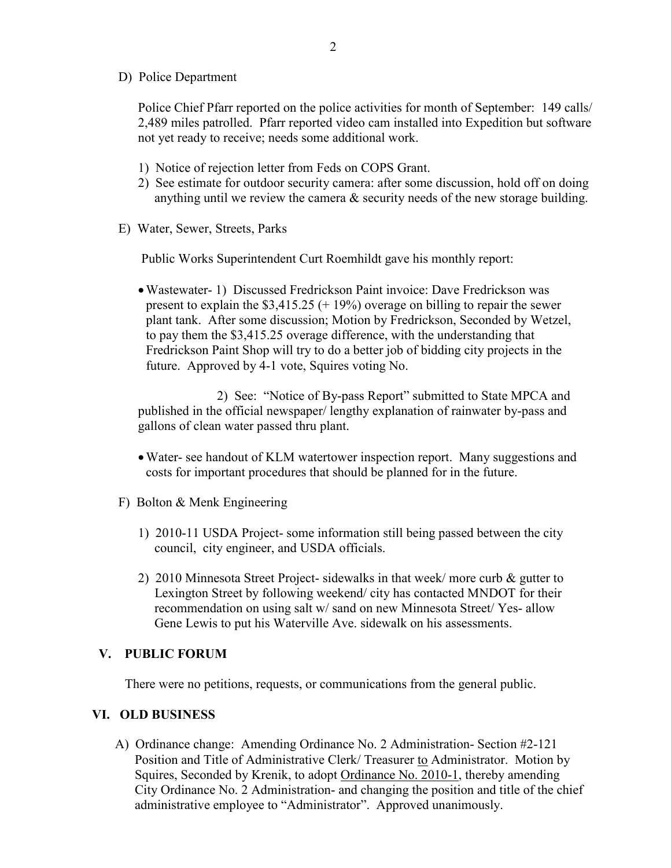D) Police Department

Police Chief Pfarr reported on the police activities for month of September: 149 calls/ 2,489 miles patrolled. Pfarr reported video cam installed into Expedition but software not yet ready to receive; needs some additional work.

- 1) Notice of rejection letter from Feds on COPS Grant.
- 2) See estimate for outdoor security camera: after some discussion, hold off on doing anything until we review the camera  $\&$  security needs of the new storage building.
- E) Water, Sewer, Streets, Parks

Public Works Superintendent Curt Roemhildt gave his monthly report:

•Wastewater- 1) Discussed Fredrickson Paint invoice: Dave Fredrickson was present to explain the  $$3,415.25$  (+ 19%) overage on billing to repair the sewer plant tank. After some discussion; Motion by Fredrickson, Seconded by Wetzel, to pay them the \$3,415.25 overage difference, with the understanding that Fredrickson Paint Shop will try to do a better job of bidding city projects in the future. Approved by 4-1 vote, Squires voting No.

 2) See: "Notice of By-pass Report" submitted to State MPCA and published in the official newspaper/ lengthy explanation of rainwater by-pass and gallons of clean water passed thru plant.

- •Water- see handout of KLM watertower inspection report. Many suggestions and costs for important procedures that should be planned for in the future.
- F) Bolton & Menk Engineering
	- 1) 2010-11 USDA Project- some information still being passed between the city council, city engineer, and USDA officials.
	- 2) 2010 Minnesota Street Project- sidewalks in that week/ more curb & gutter to Lexington Street by following weekend/ city has contacted MNDOT for their recommendation on using salt w/ sand on new Minnesota Street/ Yes- allow Gene Lewis to put his Waterville Ave. sidewalk on his assessments.

#### **V. PUBLIC FORUM**

There were no petitions, requests, or communications from the general public.

#### **VI. OLD BUSINESS**

A) Ordinance change: Amending Ordinance No. 2 Administration- Section #2-121 Position and Title of Administrative Clerk/ Treasurer to Administrator. Motion by Squires, Seconded by Krenik, to adopt Ordinance No. 2010-1, thereby amending City Ordinance No. 2 Administration- and changing the position and title of the chief administrative employee to "Administrator". Approved unanimously.